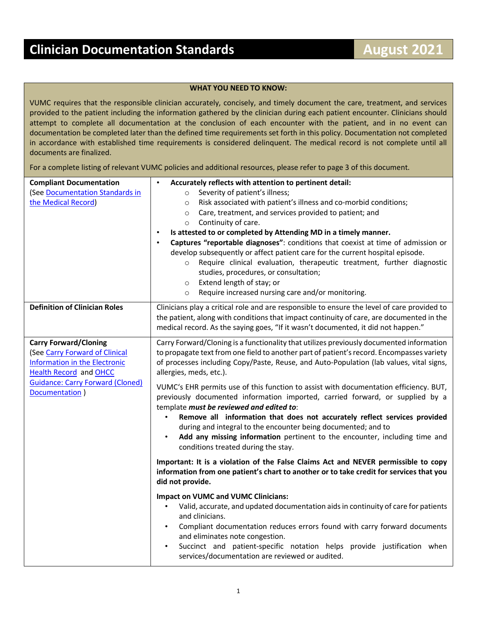## **WHAT YOU NEED TO KNOW:**

VUMC requires that the responsible clinician accurately, concisely, and timely document the care, treatment, and services provided to the patient including the information gathered by the clinician during each patient encounter. Clinicians should attempt to complete all documentation at the conclusion of each encounter with the patient, and in no event can documentation be completed later than the defined time requirements set forth in this policy. Documentation not completed in accordance with established time requirements is considered delinquent. The medical record is not complete until all documents are finalized.

For a complete listing of relevant VUMC policies and additional resources, please refer to page 3 of this document.

| <b>Compliant Documentation</b><br>(See Documentation Standards in<br>the Medical Record)                                                                                                      | Accurately reflects with attention to pertinent detail:<br>Severity of patient's illness;<br>$\circ$<br>Risk associated with patient's illness and co-morbid conditions;<br>$\circ$<br>Care, treatment, and services provided to patient; and<br>$\circ$<br>Continuity of care.<br>$\circ$<br>Is attested to or completed by Attending MD in a timely manner.<br>$\bullet$<br>Captures "reportable diagnoses": conditions that coexist at time of admission or<br>$\bullet$<br>develop subsequently or affect patient care for the current hospital episode.<br>Require clinical evaluation, therapeutic treatment, further diagnostic<br>$\circ$<br>studies, procedures, or consultation;<br>Extend length of stay; or<br>$\circ$<br>Require increased nursing care and/or monitoring.<br>$\circ$ |
|-----------------------------------------------------------------------------------------------------------------------------------------------------------------------------------------------|----------------------------------------------------------------------------------------------------------------------------------------------------------------------------------------------------------------------------------------------------------------------------------------------------------------------------------------------------------------------------------------------------------------------------------------------------------------------------------------------------------------------------------------------------------------------------------------------------------------------------------------------------------------------------------------------------------------------------------------------------------------------------------------------------|
| <b>Definition of Clinician Roles</b>                                                                                                                                                          | Clinicians play a critical role and are responsible to ensure the level of care provided to<br>the patient, along with conditions that impact continuity of care, are documented in the<br>medical record. As the saying goes, "If it wasn't documented, it did not happen."                                                                                                                                                                                                                                                                                                                                                                                                                                                                                                                       |
| <b>Carry Forward/Cloning</b><br>(See Carry Forward of Clinical<br>Information in the Electronic<br><b>Health Record and OHCC</b><br><b>Guidance: Carry Forward (Cloned)</b><br>Documentation) | Carry Forward/Cloning is a functionality that utilizes previously documented information<br>to propagate text from one field to another part of patient's record. Encompasses variety<br>of processes including Copy/Paste, Reuse, and Auto-Population (lab values, vital signs,<br>allergies, meds, etc.).<br>VUMC's EHR permits use of this function to assist with documentation efficiency. BUT,<br>previously documented information imported, carried forward, or supplied by a<br>template must be reviewed and edited to:<br>Remove all information that does not accurately reflect services provided<br>during and integral to the encounter being documented; and to                                                                                                                    |
|                                                                                                                                                                                               | Add any missing information pertinent to the encounter, including time and<br>conditions treated during the stay.<br>Important: It is a violation of the False Claims Act and NEVER permissible to copy<br>information from one patient's chart to another or to take credit for services that you<br>did not provide.                                                                                                                                                                                                                                                                                                                                                                                                                                                                             |
|                                                                                                                                                                                               | <b>Impact on VUMC and VUMC Clinicians:</b><br>Valid, accurate, and updated documentation aids in continuity of care for patients<br>and clinicians.<br>Compliant documentation reduces errors found with carry forward documents<br>and eliminates note congestion.<br>Succinct and patient-specific notation helps provide justification when<br>services/documentation are reviewed or audited.                                                                                                                                                                                                                                                                                                                                                                                                  |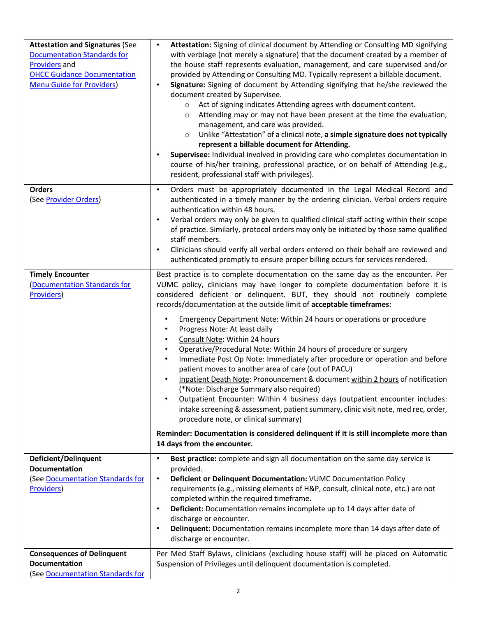| <b>Attestation and Signatures (See</b><br><b>Documentation Standards for</b><br><b>Providers and</b><br><b>OHCC Guidance Documentation</b><br><b>Menu Guide for Providers)</b> | Attestation: Signing of clinical document by Attending or Consulting MD signifying<br>with verbiage (not merely a signature) that the document created by a member of<br>the house staff represents evaluation, management, and care supervised and/or<br>provided by Attending or Consulting MD. Typically represent a billable document.<br>Signature: Signing of document by Attending signifying that he/she reviewed the<br>$\bullet$<br>document created by Supervisee.<br>Act of signing indicates Attending agrees with document content.<br>$\circ$<br>Attending may or may not have been present at the time the evaluation,<br>$\circ$<br>management, and care was provided.<br>Unlike "Attestation" of a clinical note, a simple signature does not typically<br>$\circ$<br>represent a billable document for Attending.<br>Supervisee: Individual involved in providing care who completes documentation in<br>$\bullet$<br>course of his/her training, professional practice, or on behalf of Attending (e.g.,<br>resident, professional staff with privileges).                                                                            |
|--------------------------------------------------------------------------------------------------------------------------------------------------------------------------------|-----------------------------------------------------------------------------------------------------------------------------------------------------------------------------------------------------------------------------------------------------------------------------------------------------------------------------------------------------------------------------------------------------------------------------------------------------------------------------------------------------------------------------------------------------------------------------------------------------------------------------------------------------------------------------------------------------------------------------------------------------------------------------------------------------------------------------------------------------------------------------------------------------------------------------------------------------------------------------------------------------------------------------------------------------------------------------------------------------------------------------------------------------------|
| <b>Orders</b><br>(See Provider Orders)                                                                                                                                         | Orders must be appropriately documented in the Legal Medical Record and<br>$\bullet$<br>authenticated in a timely manner by the ordering clinician. Verbal orders require<br>authentication within 48 hours.<br>Verbal orders may only be given to qualified clinical staff acting within their scope<br>$\bullet$<br>of practice. Similarly, protocol orders may only be initiated by those same qualified<br>staff members.<br>Clinicians should verify all verbal orders entered on their behalf are reviewed and<br>$\bullet$<br>authenticated promptly to ensure proper billing occurs for services rendered.                                                                                                                                                                                                                                                                                                                                                                                                                                                                                                                                        |
| <b>Timely Encounter</b><br>(Documentation Standards for<br>Providers)                                                                                                          | Best practice is to complete documentation on the same day as the encounter. Per<br>VUMC policy, clinicians may have longer to complete documentation before it is<br>considered deficient or delinquent. BUT, they should not routinely complete<br>records/documentation at the outside limit of acceptable timeframes:<br><b>Emergency Department Note: Within 24 hours or operations or procedure</b><br>Progress Note: At least daily<br>Consult Note: Within 24 hours<br>Operative/Procedural Note: Within 24 hours of procedure or surgery<br>Immediate Post Op Note: Immediately after procedure or operation and before<br>patient moves to another area of care (out of PACU)<br>Inpatient Death Note: Pronouncement & document within 2 hours of notification<br>(*Note: Discharge Summary also required)<br>Outpatient Encounter: Within 4 business days (outpatient encounter includes:<br>intake screening & assessment, patient summary, clinic visit note, med rec, order,<br>procedure note, or clinical summary)<br>Reminder: Documentation is considered delinquent if it is still incomplete more than<br>14 days from the encounter. |
| <b>Deficient/Delinquent</b><br><b>Documentation</b><br>(See Documentation Standards for<br>Providers)                                                                          | Best practice: complete and sign all documentation on the same day service is<br>$\bullet$<br>provided.<br>Deficient or Delinquent Documentation: VUMC Documentation Policy<br>$\bullet$<br>requirements (e.g., missing elements of H&P, consult, clinical note, etc.) are not<br>completed within the required timeframe.<br>Deficient: Documentation remains incomplete up to 14 days after date of<br>$\bullet$<br>discharge or encounter.<br>Delinquent: Documentation remains incomplete more than 14 days after date of<br>$\bullet$<br>discharge or encounter.                                                                                                                                                                                                                                                                                                                                                                                                                                                                                                                                                                                     |
| <b>Consequences of Delinquent</b><br><b>Documentation</b><br>(See Documentation Standards for                                                                                  | Per Med Staff Bylaws, clinicians (excluding house staff) will be placed on Automatic<br>Suspension of Privileges until delinquent documentation is completed.                                                                                                                                                                                                                                                                                                                                                                                                                                                                                                                                                                                                                                                                                                                                                                                                                                                                                                                                                                                             |